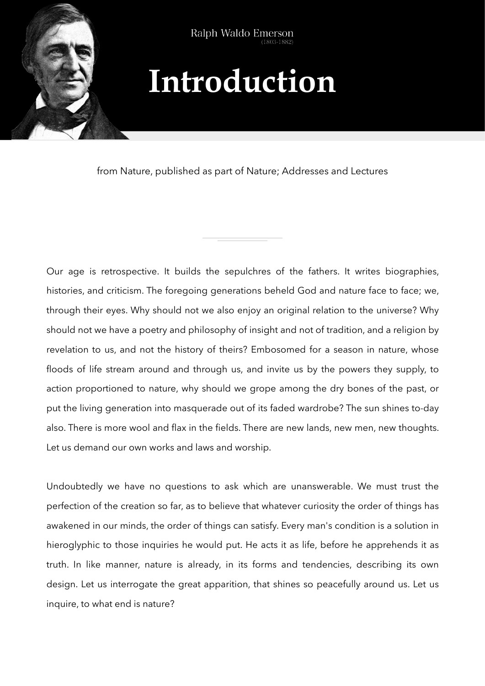

## **Introduction**

from Nature, published as part of Nature; Addresses and Lectures

Our age is retrospective. It builds the sepulchres of the fathers. It writes biographies, histories, and criticism. The foregoing generations beheld God and nature face to face; we, through their eyes. Why should not we also enjoy an original relation to the universe? Why should not we have a poetry and philosophy of insight and not of tradition, and a religion by revelation to us, and not the history of theirs? Embosomed for a season in nature, whose floods of life stream around and through us, and invite us by the powers they supply, to action proportioned to nature, why should we grope among the dry bones of the past, or put the living generation into masquerade out of its faded wardrobe? The sun shines to-day also. There is more wool and flax in the fields. There are new lands, new men, new thoughts. Let us demand our own works and laws and worship.

Undoubtedly we have no questions to ask which are unanswerable. We must trust the perfection of the creation so far, as to believe that whatever curiosity the order of things has awakened in our minds, the order of things can satisfy. Every man's condition is a solution in hieroglyphic to those inquiries he would put. He acts it as life, before he apprehends it as truth. In like manner, nature is already, in its forms and tendencies, describing its own design. Let us interrogate the great apparition, that shines so peacefully around us. Let us inquire, to what end is nature?